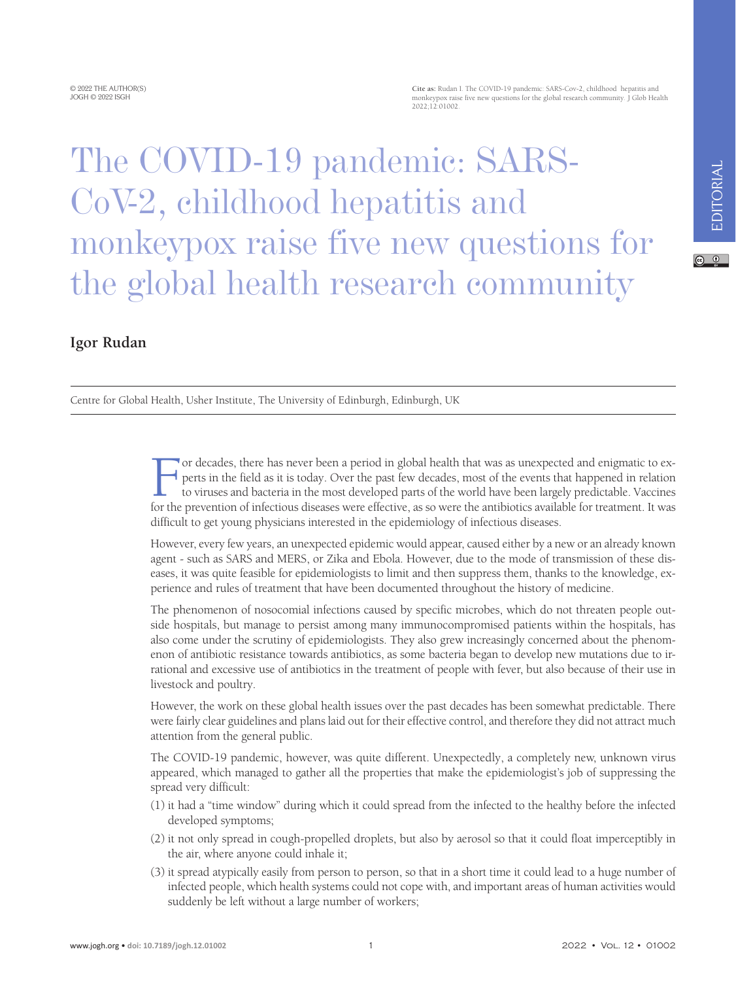$\boxed{6}$  0

## The COVID-19 pandemic: SARS-CoV-2, childhood hepatitis and monkeypox raise five new questions for the global health research community

## **Igor Rudan**

Centre for Global Health, Usher Institute, The University of Edinburgh, Edinburgh, UK

For decades, there has never been a period in global health that was as unexpected and enigmatic to experts in the field as it is today. Over the past few decades, most of the events that happened in relation to viruses an perts in the field as it is today. Over the past few decades, most of the events that happened in relation to viruses and bacteria in the most developed parts of the world have been largely predictable. Vaccines for the prevention of infectious diseases were effective, as so were the antibiotics available for treatment. It was difficult to get young physicians interested in the epidemiology of infectious diseases.

However, every few years, an unexpected epidemic would appear, caused either by a new or an already known agent - such as SARS and MERS, or Zika and Ebola. However, due to the mode of transmission of these diseases, it was quite feasible for epidemiologists to limit and then suppress them, thanks to the knowledge, experience and rules of treatment that have been documented throughout the history of medicine.

The phenomenon of nosocomial infections caused by specific microbes, which do not threaten people outside hospitals, but manage to persist among many immunocompromised patients within the hospitals, has also come under the scrutiny of epidemiologists. They also grew increasingly concerned about the phenomenon of antibiotic resistance towards antibiotics, as some bacteria began to develop new mutations due to irrational and excessive use of antibiotics in the treatment of people with fever, but also because of their use in livestock and poultry.

However, the work on these global health issues over the past decades has been somewhat predictable. There were fairly clear guidelines and plans laid out for their effective control, and therefore they did not attract much attention from the general public.

The COVID-19 pandemic, however, was quite different. Unexpectedly, a completely new, unknown virus appeared, which managed to gather all the properties that make the epidemiologist's job of suppressing the spread very difficult:

- (1) it had a "time window" during which it could spread from the infected to the healthy before the infected developed symptoms;
- (2) it not only spread in cough-propelled droplets, but also by aerosol so that it could float imperceptibly in the air, where anyone could inhale it;
- (3) it spread atypically easily from person to person, so that in a short time it could lead to a huge number of infected people, which health systems could not cope with, and important areas of human activities would suddenly be left without a large number of workers;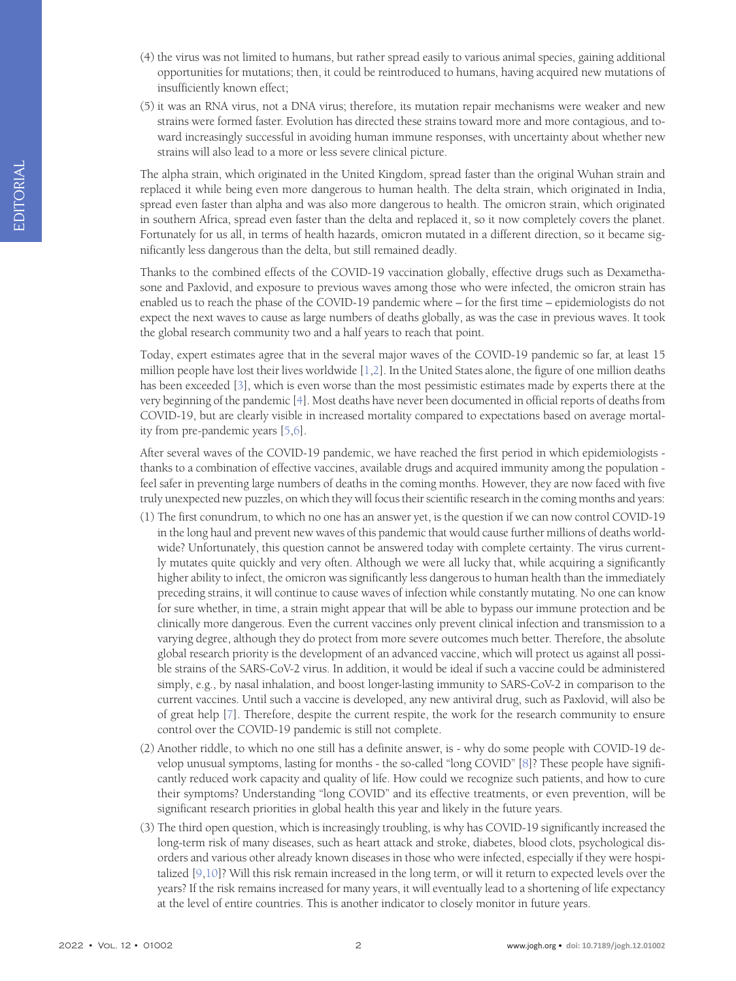- (4) the virus was not limited to humans, but rather spread easily to various animal species, gaining additional opportunities for mutations; then, it could be reintroduced to humans, having acquired new mutations of insufficiently known effect;
- (5) it was an RNA virus, not a DNA virus; therefore, its mutation repair mechanisms were weaker and new strains were formed faster. Evolution has directed these strains toward more and more contagious, and toward increasingly successful in avoiding human immune responses, with uncertainty about whether new strains will also lead to a more or less severe clinical picture.

The alpha strain, which originated in the United Kingdom, spread faster than the original Wuhan strain and replaced it while being even more dangerous to human health. The delta strain, which originated in India, spread even faster than alpha and was also more dangerous to health. The omicron strain, which originated in southern Africa, spread even faster than the delta and replaced it, so it now completely covers the planet. Fortunately for us all, in terms of health hazards, omicron mutated in a different direction, so it became significantly less dangerous than the delta, but still remained deadly.

Thanks to the combined effects of the COVID-19 vaccination globally, effective drugs such as Dexamethasone and Paxlovid, and exposure to previous waves among those who were infected, the omicron strain has enabled us to reach the phase of the COVID-19 pandemic where – for the first time – epidemiologists do not expect the next waves to cause as large numbers of deaths globally, as was the case in previous waves. It took the global research community two and a half years to reach that point.

Today, expert estimates agree that in the several major waves of the COVID-19 pandemic so far, at least 15 million people have lost their lives worldwide [\[1,](#page-2-0)[2](#page-2-1)]. In the United States alone, the figure of one million deaths has been exceeded [\[3](#page-2-2)], which is even worse than the most pessimistic estimates made by experts there at the very beginning of the pandemic [\[4](#page-2-3)]. Most deaths have never been documented in official reports of deaths from COVID-19, but are clearly visible in increased mortality compared to expectations based on average mortality from pre-pandemic years [\[5](#page-2-4)[,6\]](#page-2-5).

After several waves of the COVID-19 pandemic, we have reached the first period in which epidemiologists thanks to a combination of effective vaccines, available drugs and acquired immunity among the population feel safer in preventing large numbers of deaths in the coming months. However, they are now faced with five truly unexpected new puzzles, on which they will focus their scientific research in the coming months and years:

- (1) The first conundrum, to which no one has an answer yet, is the question if we can now control COVID-19 in the long haul and prevent new waves of this pandemic that would cause further millions of deaths worldwide? Unfortunately, this question cannot be answered today with complete certainty. The virus currently mutates quite quickly and very often. Although we were all lucky that, while acquiring a significantly higher ability to infect, the omicron was significantly less dangerous to human health than the immediately preceding strains, it will continue to cause waves of infection while constantly mutating. No one can know for sure whether, in time, a strain might appear that will be able to bypass our immune protection and be clinically more dangerous. Even the current vaccines only prevent clinical infection and transmission to a varying degree, although they do protect from more severe outcomes much better. Therefore, the absolute global research priority is the development of an advanced vaccine, which will protect us against all possible strains of the SARS-CoV-2 virus. In addition, it would be ideal if such a vaccine could be administered simply, e.g., by nasal inhalation, and boost longer-lasting immunity to SARS-CoV-2 in comparison to the current vaccines. Until such a vaccine is developed, any new antiviral drug, such as Paxlovid, will also be of great help [[7\]](#page-3-0). Therefore, despite the current respite, the work for the research community to ensure control over the COVID-19 pandemic is still not complete.
- (2) Another riddle, to which no one still has a definite answer, is why do some people with COVID-19 develop unusual symptoms, lasting for months - the so-called "long COVID" [[8\]](#page-3-1)? These people have significantly reduced work capacity and quality of life. How could we recognize such patients, and how to cure their symptoms? Understanding "long COVID" and its effective treatments, or even prevention, will be significant research priorities in global health this year and likely in the future years.
- (3) The third open question, which is increasingly troubling, is why has COVID-19 significantly increased the long-term risk of many diseases, such as heart attack and stroke, diabetes, blood clots, psychological disorders and various other already known diseases in those who were infected, especially if they were hospitalized [[9,](#page-3-2)[10](#page-3-3)]? Will this risk remain increased in the long term, or will it return to expected levels over the years? If the risk remains increased for many years, it will eventually lead to a shortening of life expectancy at the level of entire countries. This is another indicator to closely monitor in future years.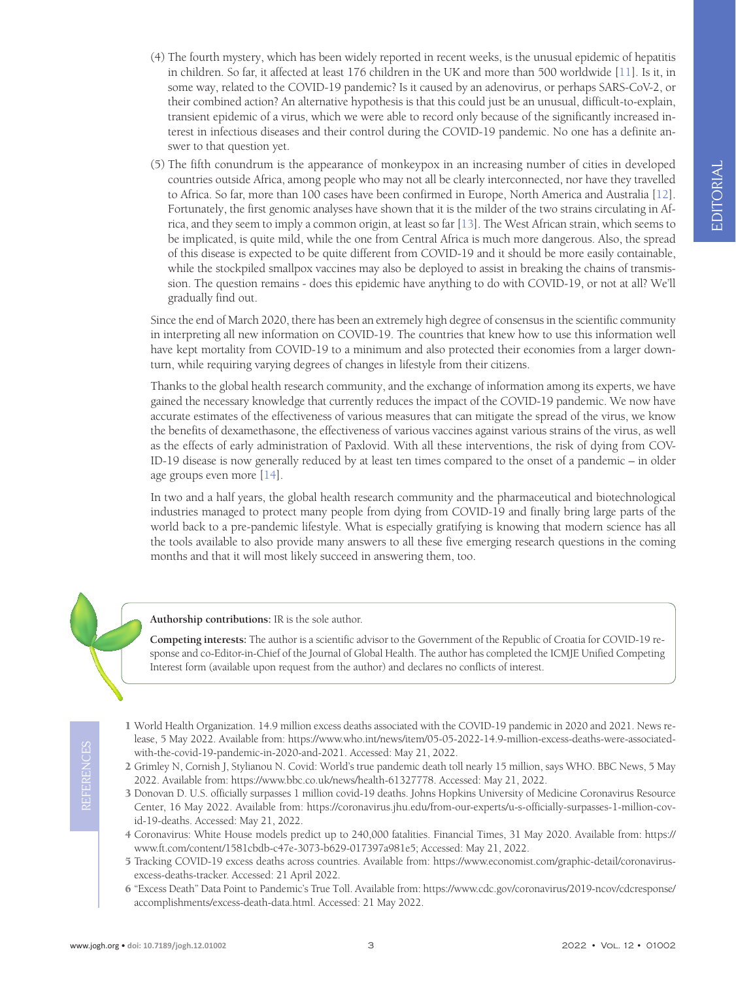- (4) The fourth mystery, which has been widely reported in recent weeks, is the unusual epidemic of hepatitis in children. So far, it affected at least 176 children in the UK and more than 500 worldwide [\[11](#page-3-4)]. Is it, in some way, related to the COVID-19 pandemic? Is it caused by an adenovirus, or perhaps SARS-CoV-2, or their combined action? An alternative hypothesis is that this could just be an unusual, difficult-to-explain, transient epidemic of a virus, which we were able to record only because of the significantly increased interest in infectious diseases and their control during the COVID-19 pandemic. No one has a definite answer to that question yet.
- (5) The fifth conundrum is the appearance of monkeypox in an increasing number of cities in developed countries outside Africa, among people who may not all be clearly interconnected, nor have they travelled to Africa. So far, more than 100 cases have been confirmed in Europe, North America and Australia [\[12](#page-3-5)]. Fortunately, the first genomic analyses have shown that it is the milder of the two strains circulating in Africa, and they seem to imply a common origin, at least so far [\[13](#page-3-6)]. The West African strain, which seems to be implicated, is quite mild, while the one from Central Africa is much more dangerous. Also, the spread of this disease is expected to be quite different from COVID-19 and it should be more easily containable, while the stockpiled smallpox vaccines may also be deployed to assist in breaking the chains of transmission. The question remains - does this epidemic have anything to do with COVID-19, or not at all? We'll gradually find out.

Since the end of March 2020, there has been an extremely high degree of consensus in the scientific community in interpreting all new information on COVID-19. The countries that knew how to use this information well have kept mortality from COVID-19 to a minimum and also protected their economies from a larger downturn, while requiring varying degrees of changes in lifestyle from their citizens.

Thanks to the global health research community, and the exchange of information among its experts, we have gained the necessary knowledge that currently reduces the impact of the COVID-19 pandemic. We now have accurate estimates of the effectiveness of various measures that can mitigate the spread of the virus, we know the benefits of dexamethasone, the effectiveness of various vaccines against various strains of the virus, as well as the effects of early administration of Paxlovid. With all these interventions, the risk of dying from COV-ID-19 disease is now generally reduced by at least ten times compared to the onset of a pandemic – in older age groups even more [\[14\]](#page-3-7).

In two and a half years, the global health research community and the pharmaceutical and biotechnological industries managed to protect many people from dying from COVID-19 and finally bring large parts of the world back to a pre-pandemic lifestyle. What is especially gratifying is knowing that modern science has all the tools available to also provide many answers to all these five emerging research questions in the coming months and that it will most likely succeed in answering them, too.

**Authorship contributions:** IR is the sole author.

**Competing interests:** The author is a scientific advisor to the Government of the Republic of Croatia for COVID-19 response and co-Editor-in-Chief of the Journal of Global Health. The author has completed the ICMJE Unified Competing Interest form (available upon request from the author) and declares no conflicts of interest.

- <span id="page-2-0"></span>1 World Health Organization. 14.9 million excess deaths associated with the COVID-19 pandemic in 2020 and 2021. News release, 5 May 2022. Available from: [https://www.who.int/news/item/05-05-2022-14.9-million-excess-deaths-were-associated](https://www.who.int/news/item/05-05-2022-14.9-million-excess-deaths-were-associated-with-the-covid-1)[with-the-covid-19-pandemic-in-2020-and-2021.](https://www.who.int/news/item/05-05-2022-14.9-million-excess-deaths-were-associated-with-the-covid-1) Accessed: May 21, 2022.
- <span id="page-2-1"></span>2 Grimley N, Cornish J, Stylianou N. Covid: World's true pandemic death toll nearly 15 million, says WHO. BBC News, 5 May 2022. Available from: [https://www.bbc.co.uk/news/health-61327778.](https://www.bbc.co.uk/news/health-61327778) Accessed: May 21, 2022.
- <span id="page-2-2"></span>3 Donovan D. U.S. officially surpasses 1 million covid-19 deaths. Johns Hopkins University of Medicine Coronavirus Resource Center, 16 May 2022. Available from: [https://coronavirus.jhu.edu/from-our-experts/u-s-officially-surpasses-1-million-cov](https://coronavirus.jhu.edu/from-our-experts/u-s-officially-surpasses-1-million-covid-19-deaths)[id-19-deaths](https://coronavirus.jhu.edu/from-our-experts/u-s-officially-surpasses-1-million-covid-19-deaths). Accessed: May 21, 2022.
- <span id="page-2-3"></span>4 Coronavirus: White House models predict up to 240,000 fatalities. Financial Times, 31 May 2020. Available from: [https://](https://www.ft.com/content/1581cbdb-c47e-3073-b629-017397a981e5) [www.ft.com/content/1581cbdb-c47e-3073-b629-017397a981e5;](https://www.ft.com/content/1581cbdb-c47e-3073-b629-017397a981e5) Accessed: May 21, 2022.
- <span id="page-2-4"></span>5 Tracking COVID-19 excess deaths across countries. Available from: [https://www.economist.com/graphic-detail/coronavirus](https://www.economist.com/graphic-detail/coronavirus-excess-deaths-tracker)[excess-deaths-tracker](https://www.economist.com/graphic-detail/coronavirus-excess-deaths-tracker). Accessed: 21 April 2022.
- <span id="page-2-5"></span>6 "Excess Death" Data Point to Pandemic's True Toll. Available from: [https://www.cdc.gov/coronavirus/2019-ncov/cdcresponse/](https://www.cdc.gov/coronavirus/2019-ncov/cdcresponse/accomplishments/excess-death-data.html) [accomplishments/excess-death-data.html](https://www.cdc.gov/coronavirus/2019-ncov/cdcresponse/accomplishments/excess-death-data.html). Accessed: 21 May 2022.